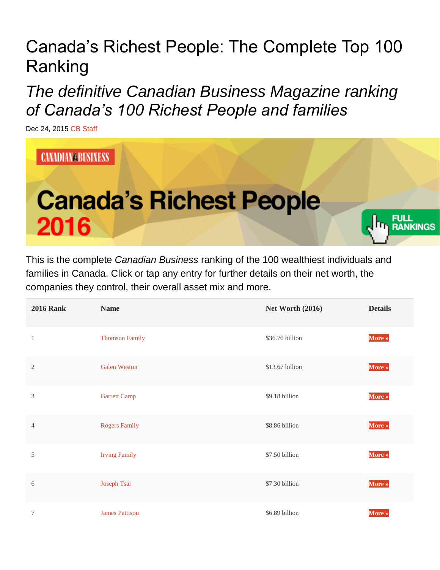## Canada's Richest People: The Complete Top 100 Ranking

*The definitive Canadian Business Magazine ranking of Canada's 100 Richest People and families*

Dec 24, 2015 [CB Staff](http://www.canadianbusiness.com/author/admin/)



This is the complete *Canadian Business* ranking of the 100 wealthiest individuals and families in Canada. Click or tap any entry for further details on their net worth, the companies they control, their overall asset mix and more.

| <b>2016 Rank</b> | <b>Name</b>           | <b>Net Worth (2016)</b> | <b>Details</b> |
|------------------|-----------------------|-------------------------|----------------|
| $\mathbf{1}$     | <b>Thomson Family</b> | \$36.76 billion         | More »         |
| $\mathbf{2}$     | <b>Galen Weston</b>   | \$13.67 billion         | More »         |
| 3                | <b>Garrett Camp</b>   | \$9.18 billion          | More »         |
| 4                | <b>Rogers Family</b>  | \$8.86 billion          | More »         |
| 5                | <b>Irving Family</b>  | \$7.50 billion          | More »         |
| 6                | Joseph Tsai           | \$7.30 billion          | More »         |
| 7                | <b>James Pattison</b> | \$6.89 billion          | More »         |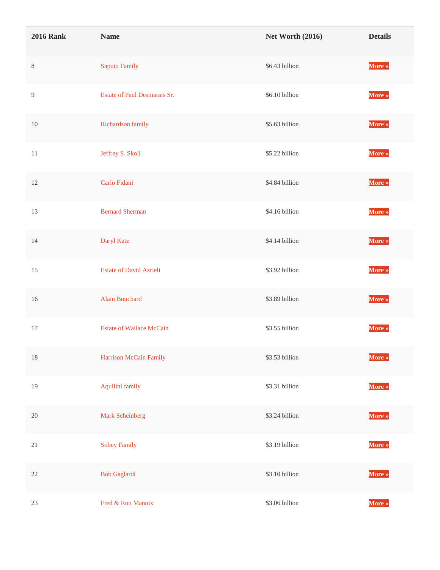| <b>2016 Rank</b> | <b>Name</b>                     | <b>Net Worth (2016)</b> | <b>Details</b> |
|------------------|---------------------------------|-------------------------|----------------|
| $\,8\,$          | Saputo Family                   | \$6.43 billion          | More »         |
| 9                | Estate of Paul Desmarais Sr.    | \$6.10 billion          | More »         |
| $10\,$           | Richardson family               | \$5.63 billion          | More »         |
| $11\,$           | Jeffrey S. Skoll                | \$5.22 billion          | More »         |
| 12               | Carlo Fidani                    | \$4.84 billion          | More »         |
| 13               | <b>Bernard Sherman</b>          | \$4.16 billion          | More »         |
| 14               | Daryl Katz                      | \$4.14 billion          | More »         |
| 15               | <b>Estate of David Azrieli</b>  | \$3.92 billion          | More »         |
| 16               | Alain Bouchard                  | \$3.89 billion          | More »         |
| 17               | <b>Estate of Wallace McCain</b> | \$3.55 billion          | More »         |
| 18               | Harrison McCain Family          | \$3.53 billion          | More »         |
| 19               | Aquilini family                 | \$3.31 billion          | More »         |
| $20\,$           | Mark Scheinberg                 | \$3.24 billion          | More »         |
| $21\,$           | <b>Sobey Family</b>             | \$3.19 billion          | More »         |
| $22\,$           | <b>Bob Gaglardi</b>             | \$3.10 billion          | More »         |
| $23\,$           | Fred & Ron Mannix               | \$3.06 billion          | More »         |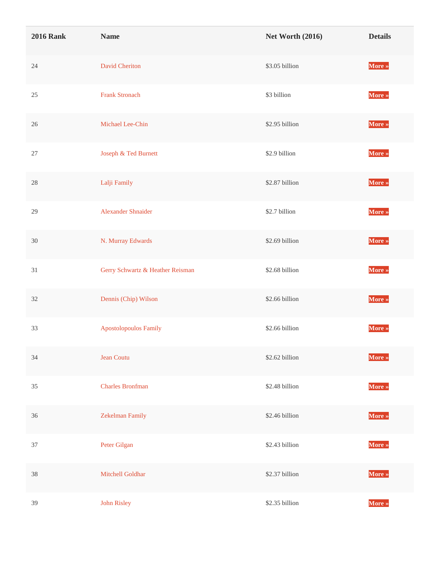| <b>2016 Rank</b> | <b>Name</b>                      | <b>Net Worth (2016)</b> | <b>Details</b> |
|------------------|----------------------------------|-------------------------|----------------|
| $24\,$           | <b>David Cheriton</b>            | \$3.05 billion          | More »         |
| $25\,$           | <b>Frank Stronach</b>            | \$3 billion             | More »         |
| $26\,$           | Michael Lee-Chin                 | \$2.95 billion          | More »         |
| $27\,$           | Joseph & Ted Burnett             | \$2.9 billion           | More »         |
| $28\,$           | Lalji Family                     | \$2.87 billion          | More »         |
| 29               | Alexander Shnaider               | \$2.7 billion           | More »         |
| $30\,$           | N. Murray Edwards                | \$2.69 billion          | More »         |
| 31               | Gerry Schwartz & Heather Reisman | \$2.68 billion          | More »         |
| 32               | Dennis (Chip) Wilson             | \$2.66 billion          | More »         |
| 33               | <b>Apostolopoulos Family</b>     | \$2.66 billion          | More »         |
| 34               | Jean Coutu                       | \$2.62 billion          | More »         |
| 35               | <b>Charles Bronfman</b>          | \$2.48 billion          | More »         |
| 36               | Zekelman Family                  | \$2.46 billion          | More »         |
| $37\,$           | Peter Gilgan                     | \$2.43 billion          | More »         |
| 38               | Mitchell Goldhar                 | \$2.37 billion          | More »         |
| 39               | John Risley                      | \$2.35 billion          | More »         |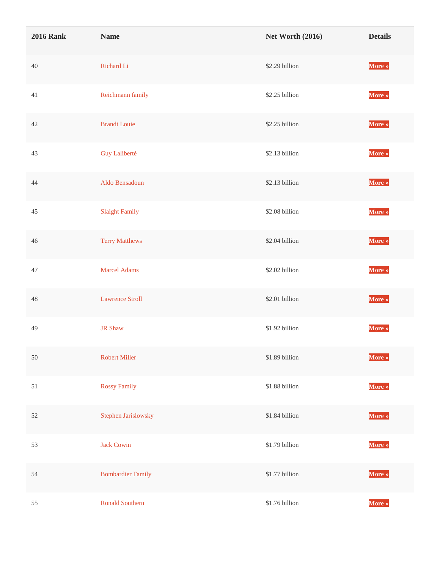| <b>2016 Rank</b> | <b>Name</b>              | <b>Net Worth (2016)</b> | <b>Details</b> |
|------------------|--------------------------|-------------------------|----------------|
| $40\,$           | Richard Li               | \$2.29 billion          | More »         |
| $41\,$           | Reichmann family         | \$2.25 billion          | More »         |
| $42\,$           | <b>Brandt Louie</b>      | \$2.25 billion          | More »         |
| 43               | Guy Laliberté            | \$2.13 billion          | More »         |
| 44               | Aldo Bensadoun           | \$2.13 billion          | More »         |
| 45               | <b>Slaight Family</b>    | \$2.08 billion          | More »         |
| 46               | <b>Terry Matthews</b>    | \$2.04 billion          | More »         |
| $47\,$           | <b>Marcel Adams</b>      | \$2.02 billion          | More »         |
| $48\,$           | <b>Lawrence Stroll</b>   | \$2.01 billion          | More »         |
| 49               | <b>JR Shaw</b>           | \$1.92 billion          | More »         |
| $50\,$           | <b>Robert Miller</b>     | \$1.89 billion          | More »         |
| 51               | <b>Rossy Family</b>      | \$1.88 billion          | More »         |
| $52\,$           | Stephen Jarislowsky      | \$1.84 billion          | More »         |
| 53               | <b>Jack Cowin</b>        | \$1.79 billion          | More »         |
| 54               | <b>Bombardier Family</b> | \$1.77 billion          | More »         |
| 55               | <b>Ronald Southern</b>   | \$1.76 billion          | More »         |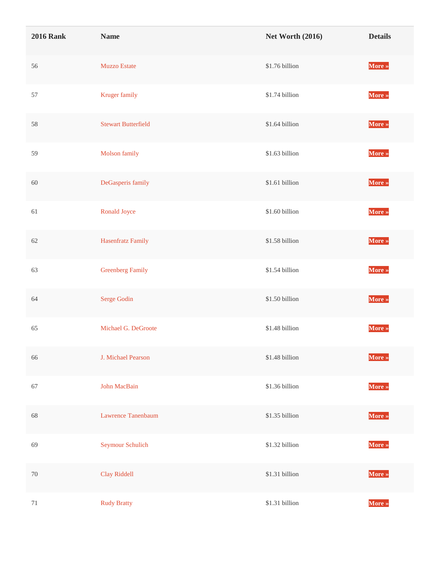| <b>2016 Rank</b> | <b>Name</b>                | <b>Net Worth (2016)</b> | <b>Details</b> |
|------------------|----------------------------|-------------------------|----------------|
| 56               | <b>Muzzo Estate</b>        | \$1.76 billion          | More »         |
| 57               | Kruger family              | \$1.74 billion          | More »         |
| 58               | <b>Stewart Butterfield</b> | \$1.64 billion          | More »         |
| 59               | Molson family              | \$1.63 billion          | More »         |
| 60               | DeGasperis family          | \$1.61 billion          | More »         |
| 61               | Ronald Joyce               | \$1.60 billion          | More »         |
| 62               | Hasenfratz Family          | \$1.58 billion          | More »         |
| 63               | <b>Greenberg Family</b>    | \$1.54 billion          | More »         |
| 64               | Serge Godin                | \$1.50 billion          | More »         |
| 65               | Michael G. DeGroote        | \$1.48 billion          | More »         |
| 66               | J. Michael Pearson         | \$1.48 billion          | More »         |
| 67               | John MacBain               | \$1.36 billion          | More »         |
| 68               | Lawrence Tanenbaum         | \$1.35 billion          | More »         |
| 69               | Seymour Schulich           | \$1.32 billion          | More »         |
| $70\,$           | Clay Riddell               | \$1.31 billion          | More »         |
| 71               | <b>Rudy Bratty</b>         | \$1.31 billion          | More »         |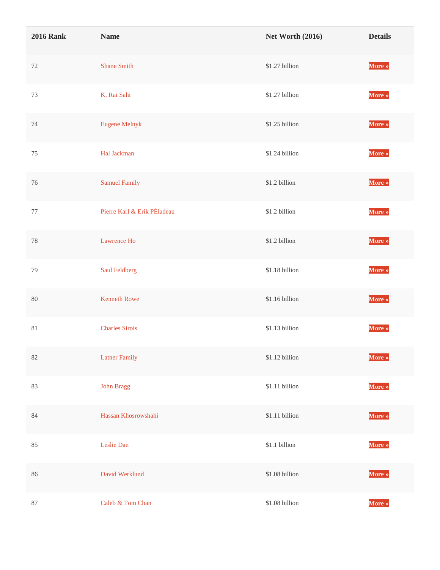| <b>2016 Rank</b> | <b>Name</b>                 | <b>Net Worth (2016)</b> | <b>Details</b> |
|------------------|-----------------------------|-------------------------|----------------|
| $72\,$           | <b>Shane Smith</b>          | \$1.27 billion          | More »         |
| 73               | K. Rai Sahi                 | \$1.27 billion          | More »         |
| 74               | <b>Eugene Melnyk</b>        | \$1.25 billion          | More »         |
| $75\,$           | Hal Jackman                 | \$1.24 billion          | More »         |
| 76               | <b>Samuel Family</b>        | \$1.2 billion           | More »         |
| $77\,$           | Pierre Karl & Erik PÉladeau | \$1.2 billion           | More »         |
| $78\,$           | Lawrence Ho                 | \$1.2 billion           | More »         |
| 79               | Saul Feldberg               | \$1.18 billion          | More »         |
| $80\,$           | <b>Kenneth Rowe</b>         | \$1.16 billion          | More »         |
| $81\,$           | <b>Charles Sirois</b>       | \$1.13 billion          | More »         |
| $82\,$           | <b>Latner Family</b>        | \$1.12 billion          | More »         |
| 83               | John Bragg                  | \$1.11 billion          | More »         |
| 84               | Hassan Khosrowshahi         | $\$1.11$ billion        | More »         |
| 85               | Leslie Dan                  | \$1.1 billion           | More »         |
| 86               | David Werklund              | \$1.08 billion          | More »         |
| $87\,$           | Caleb & Tom Chan            | $\$1.08$ billion        | More »         |